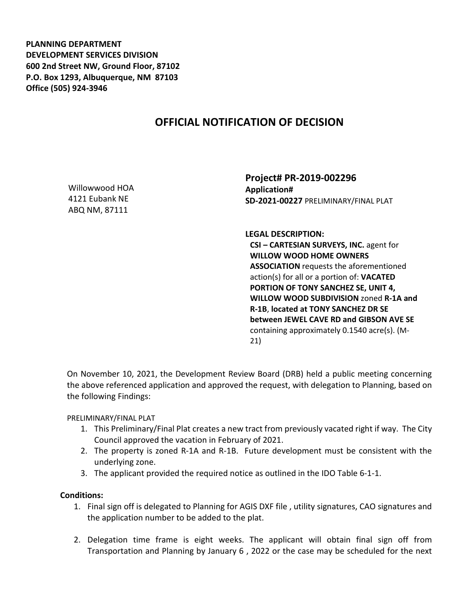**PLANNING DEPARTMENT DEVELOPMENT SERVICES DIVISION 600 2nd Street NW, Ground Floor, 87102 P.O. Box 1293, Albuquerque, NM 87103 Office (505) 924-3946** 

## **OFFICIAL NOTIFICATION OF DECISION**

Willowwood HOA 4121 Eubank NE ABQ NM, 87111

**Project# PR-2019-002296 Application# SD-2021-00227** PRELIMINARY/FINAL PLAT

**LEGAL DESCRIPTION:**

**CSI – CARTESIAN SURVEYS, INC.** agent for **WILLOW WOOD HOME OWNERS ASSOCIATION** requests the aforementioned action(s) for all or a portion of: **VACATED PORTION OF TONY SANCHEZ SE, UNIT 4, WILLOW WOOD SUBDIVISION** zoned **R-1A and R-1B**, **located at TONY SANCHEZ DR SE between JEWEL CAVE RD and GIBSON AVE SE**  containing approximately 0.1540 acre(s). (M-21)

On November 10, 2021, the Development Review Board (DRB) held a public meeting concerning the above referenced application and approved the request, with delegation to Planning, based on the following Findings:

PRELIMINARY/FINAL PLAT

- 1. This Preliminary/Final Plat creates a new tract from previously vacated right if way. The City Council approved the vacation in February of 2021.
- 2. The property is zoned R-1A and R-1B. Future development must be consistent with the underlying zone.
- 3. The applicant provided the required notice as outlined in the IDO Table 6-1-1.

## **Conditions:**

- 1. Final sign off is delegated to Planning for AGIS DXF file , utility signatures, CAO signatures and the application number to be added to the plat.
- 2. Delegation time frame is eight weeks. The applicant will obtain final sign off from Transportation and Planning by January 6 , 2022 or the case may be scheduled for the next